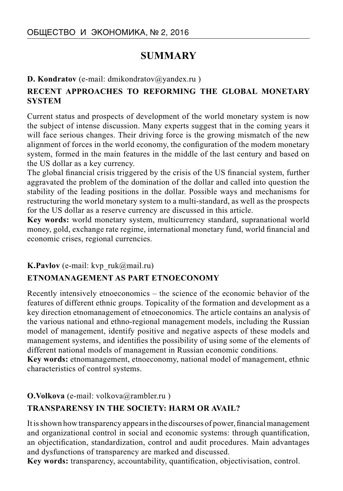# **SUMMARY**

### **D. Kondratov** (e-mail: dmikondratov@yandex.ru)

## **RECENT APPROACHES TO REFORMING THE GLOBAL MONETARY SYSTEM**

Current status and prospects of development of the world monetary system is now the subject of intense discussion. Many experts suggest that in the coming years it will face serious changes. Their driving force is the growing mismatch of the new alignment of forces in the world economy, the configuration of the modem monetary system, formed in the main features in the middle of the last century and based on the US dollar as a key currency.

The global financial crisis triggered by the crisis of the US financial system, further aggravated the problem of the domination of the dollar and called into question the stability of the leading positions in the dollar. Possible ways and mechanisms for restructuring the world monetary system to a multi-standard, as well as the prospects for the US dollar as a reserve currency are discussed in this article.

**Key words:** world monetary system, multicurrency standard, supranational world money, gold, exchange rate regime, international monetary fund, world financial and economic crises, regional currencies.

#### **K.Pavlov** (e-mail: kvp\_ruk@mail.ru)

### **ETNOMANAGEMENT AS PART ETNOECONOMY**

Recently intensively etnoeconomics – the science of the economic behavior of the features of different ethnic groups. Topicality of the formation and development as a key direction etnomanagement of etnoeconomics. The article contains an analysis of the various national and ethno-regional management models, including the Russian model of management, identify positive and negative aspects of these models and management systems, and identifies the possibility of using some of the elements of different national models of management in Russian economic conditions.

**Key words:** etnomanagement, etnoeconomy, national model of management, ethnic characteristics of control systems.

**O.Volkova** (e-mail: volkova@rambler.ru )

### **TRANSPARENSY IN THE SOCIETY: HARM OR AVAIL?**

It is shown how transparency appears in the discourses of power, financial management and organizational control in social and economic systems: through quantification, an objectification, standardization, control and audit procedures. Main advantages and dysfunctions of transparency are marked and discussed.

**Key words:** transparency, accountability, quantification, objectivisation, control.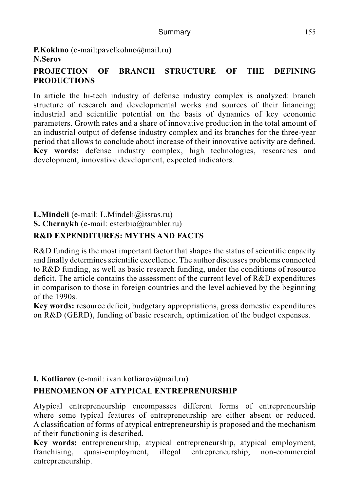**P.Kokhno** (e-mail:pavelkohno@mail.ru) **N.Serov**

## **PROJECTION OF BRANCH STRUCTURE OF THE DEFINING PRODUCTIONS**

In article the hi-tech industry of defense industry complex is analyzed: branch structure of research and developmental works and sources of their financing; industrial and scientific potential on the basis of dynamics of key economic parameters. Growth rates and a share of innovative production in the total amount of an industrial output of defense industry complex and its branches for the three-year period that allows to conclude about increase of their innovative activity are defined. **Key words:** defense industry complex, high technologies, researches and development, innovative development, expected indicators.

# **L.Mindeli** (e-mail: L.Mindeli@issras.ru)

**S. Chernykh** (e-mail: esterbio@rambler.ru)

## **R&D EXPENDITURES: MYTHS AND FACTS**

R&D funding is the most important factor that shapes the status of scientific capacity and finally determines scientific excellence. The author discusses problems connected to R&D funding, as well as basic research funding, under the conditions of resource deficit. The article contains the assessment of the current level of R&D expenditures in comparison to those in foreign countries and the level achieved by the beginning of the 1990s.

**Key words:** resource deficit, budgetary appropriations, gross domestic expenditures on R&D (GERD), funding of basic research, optimization of the budget expenses.

### **I. Kotliarov** (e-mail: ivan.kotliarov@mail.ru)

# **PHENOMENON OF ATYPICAL ENTREPRENURSHIP**

Atypical entrepreneurship encompasses different forms of entrepreneurship where some typical features of entrepreneurship are either absent or reduced. A classification of forms of atypical entrepreneurship is proposed and the mechanism of their functioning is described.

**Key words:** entrepreneurship, atypical entrepreneurship, atypical employment, franchising, quasi-employment, illegal entrepreneurship, non-commercial entrepreneurship.